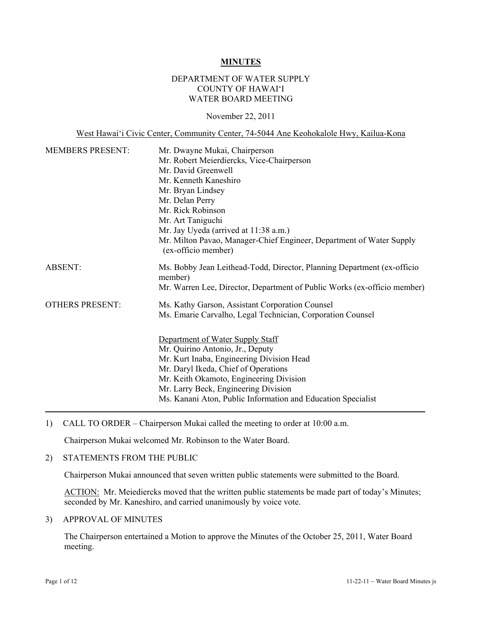#### **MINUTES**

# DEPARTMENT OF WATER SUPPLY COUNTY OF HAWAI'I WATER BOARD MEETING

### November 22, 2011

West Hawai'i Civic Center, Community Center, 74-5044 Ane Keohokalole Hwy, Kailua-Kona

| Mr. Dwayne Mukai, Chairperson                                                               |  |  |  |  |
|---------------------------------------------------------------------------------------------|--|--|--|--|
| Mr. Robert Meierdiercks, Vice-Chairperson                                                   |  |  |  |  |
| Mr. David Greenwell<br>Mr. Kenneth Kaneshiro                                                |  |  |  |  |
|                                                                                             |  |  |  |  |
| Mr. Delan Perry                                                                             |  |  |  |  |
| Mr. Rick Robinson                                                                           |  |  |  |  |
| Mr. Art Taniguchi                                                                           |  |  |  |  |
| Mr. Jay Uyeda (arrived at 11:38 a.m.)                                                       |  |  |  |  |
| Mr. Milton Pavao, Manager-Chief Engineer, Department of Water Supply<br>(ex-officio member) |  |  |  |  |
| Ms. Bobby Jean Leithead-Todd, Director, Planning Department (ex-officio<br>member)          |  |  |  |  |
| Mr. Warren Lee, Director, Department of Public Works (ex-officio member)                    |  |  |  |  |
| Ms. Kathy Garson, Assistant Corporation Counsel                                             |  |  |  |  |
| Ms. Emarie Carvalho, Legal Technician, Corporation Counsel                                  |  |  |  |  |
|                                                                                             |  |  |  |  |
| Department of Water Supply Staff<br>Mr. Quirino Antonio, Jr., Deputy                        |  |  |  |  |
| Mr. Kurt Inaba, Engineering Division Head                                                   |  |  |  |  |
| Mr. Daryl Ikeda, Chief of Operations                                                        |  |  |  |  |
| Mr. Keith Okamoto, Engineering Division                                                     |  |  |  |  |
| Mr. Larry Beck, Engineering Division                                                        |  |  |  |  |
| Ms. Kanani Aton, Public Information and Education Specialist                                |  |  |  |  |
|                                                                                             |  |  |  |  |

1) CALL TO ORDER – Chairperson Mukai called the meeting to order at 10:00 a.m.

Chairperson Mukai welcomed Mr. Robinson to the Water Board.

# 2) STATEMENTS FROM THE PUBLIC

Chairperson Mukai announced that seven written public statements were submitted to the Board.

ACTION: Mr. Meiediercks moved that the written public statements be made part of today's Minutes; seconded by Mr. Kaneshiro, and carried unanimously by voice vote.

#### 3) APPROVAL OF MINUTES

The Chairperson entertained a Motion to approve the Minutes of the October 25, 2011, Water Board meeting.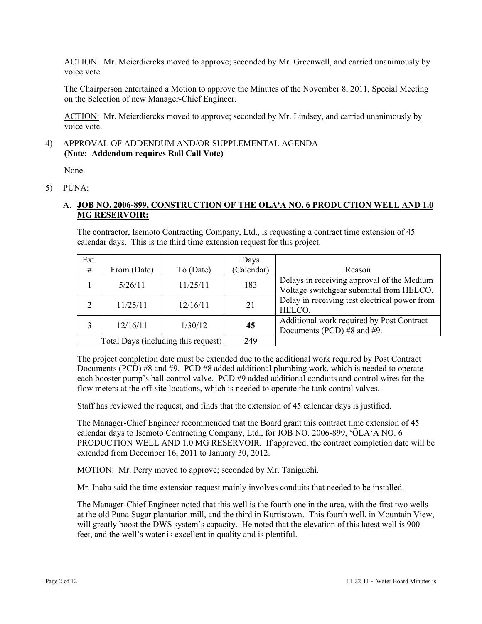ACTION: Mr. Meierdiercks moved to approve; seconded by Mr. Greenwell, and carried unanimously by voice vote.

The Chairperson entertained a Motion to approve the Minutes of the November 8, 2011, Special Meeting on the Selection of new Manager-Chief Engineer.

ACTION: Mr. Meierdiercks moved to approve; seconded by Mr. Lindsey, and carried unanimously by voice vote.

## 4) APPROVAL OF ADDENDUM AND/OR SUPPLEMENTAL AGENDA **(Note: Addendum requires Roll Call Vote)**

None.

## 5) PUNA:

# A. **JOB NO. 2006-899, CONSTRUCTION OF THE OLA'A NO. 6 PRODUCTION WELL AND 1.0 MG RESERVOIR:**

The contractor, Isemoto Contracting Company, Ltd., is requesting a contract time extension of 45 calendar days. This is the third time extension request for this project.

| Ext.           |             |                                     | Days       |                                                                                        |
|----------------|-------------|-------------------------------------|------------|----------------------------------------------------------------------------------------|
| #              | From (Date) | To (Date)                           | (Calendar) | Reason                                                                                 |
|                | 5/26/11     | 11/25/11                            | 183        | Delays in receiving approval of the Medium<br>Voltage switchgear submittal from HELCO. |
| $\overline{2}$ | 11/25/11    | 12/16/11                            | 21         | Delay in receiving test electrical power from<br>HELCO.                                |
|                | 12/16/11    | 1/30/12                             | 45         | Additional work required by Post Contract<br>Documents (PCD) #8 and #9.                |
|                |             | Total Days (including this request) | 249        |                                                                                        |

The project completion date must be extended due to the additional work required by Post Contract Documents (PCD) #8 and #9. PCD #8 added additional plumbing work, which is needed to operate each booster pump's ball control valve. PCD #9 added additional conduits and control wires for the flow meters at the off-site locations, which is needed to operate the tank control valves.

Staff has reviewed the request, and finds that the extension of 45 calendar days is justified.

The Manager-Chief Engineer recommended that the Board grant this contract time extension of 45 calendar days to Isemoto Contracting Company, Ltd., for JOB NO. 2006-899, 'ŌLA'A NO. 6 PRODUCTION WELL AND 1.0 MG RESERVOIR. If approved, the contract completion date will be extended from December 16, 2011 to January 30, 2012.

MOTION: Mr. Perry moved to approve; seconded by Mr. Taniguchi.

Mr. Inaba said the time extension request mainly involves conduits that needed to be installed.

The Manager-Chief Engineer noted that this well is the fourth one in the area, with the first two wells at the old Puna Sugar plantation mill, and the third in Kurtistown. This fourth well, in Mountain View, will greatly boost the DWS system's capacity. He noted that the elevation of this latest well is 900 feet, and the well's water is excellent in quality and is plentiful.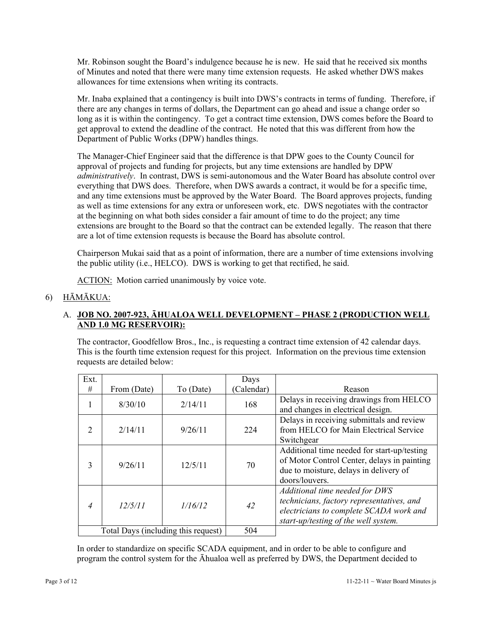Mr. Robinson sought the Board's indulgence because he is new. He said that he received six months of Minutes and noted that there were many time extension requests. He asked whether DWS makes allowances for time extensions when writing its contracts.

Mr. Inaba explained that a contingency is built into DWS's contracts in terms of funding. Therefore, if there are any changes in terms of dollars, the Department can go ahead and issue a change order so long as it is within the contingency. To get a contract time extension, DWS comes before the Board to get approval to extend the deadline of the contract. He noted that this was different from how the Department of Public Works (DPW) handles things.

The Manager-Chief Engineer said that the difference is that DPW goes to the County Council for approval of projects and funding for projects, but any time extensions are handled by DPW *administratively*. In contrast, DWS is semi-autonomous and the Water Board has absolute control over everything that DWS does. Therefore, when DWS awards a contract, it would be for a specific time, and any time extensions must be approved by the Water Board. The Board approves projects, funding as well as time extensions for any extra or unforeseen work, etc. DWS negotiates with the contractor at the beginning on what both sides consider a fair amount of time to do the project; any time extensions are brought to the Board so that the contract can be extended legally. The reason that there are a lot of time extension requests is because the Board has absolute control.

Chairperson Mukai said that as a point of information, there are a number of time extensions involving the public utility (i.e., HELCO). DWS is working to get that rectified, he said.

ACTION: Motion carried unanimously by voice vote.

# 6) HĀMĀKUA:

# A. **JOB NO. 2007-923, ĀHUALOA WELL DEVELOPMENT – PHASE 2 (PRODUCTION WELL AND 1.0 MG RESERVOIR):**

The contractor, Goodfellow Bros., Inc., is requesting a contract time extension of 42 calendar days. This is the fourth time extension request for this project. Information on the previous time extension requests are detailed below:

| Ext.                                |             |           | Days      |                                                                                                                                                                |
|-------------------------------------|-------------|-----------|-----------|----------------------------------------------------------------------------------------------------------------------------------------------------------------|
| #                                   | From (Date) | To (Date) | Calendar) | Reason                                                                                                                                                         |
|                                     | 8/30/10     | 2/14/11   | 168       | Delays in receiving drawings from HELCO<br>and changes in electrical design.                                                                                   |
| $\mathcal{D}_{\mathcal{L}}$         | 2/14/11     | 9/26/11   | 224       | Delays in receiving submittals and review<br>from HELCO for Main Electrical Service<br>Switchgear                                                              |
| 3                                   | 9/26/11     | 12/5/11   | 70        | Additional time needed for start-up/testing<br>of Motor Control Center, delays in painting<br>due to moisture, delays in delivery of<br>doors/louvers.         |
| $\overline{4}$                      | 12/5/11     | 1/16/12   | 42        | Additional time needed for DWS<br>technicians, factory representatives, and<br>electricians to complete SCADA work and<br>start-up/testing of the well system. |
| Total Days (including this request) |             |           | 504       |                                                                                                                                                                |

In order to standardize on specific SCADA equipment, and in order to be able to configure and program the control system for the Āhualoa well as preferred by DWS, the Department decided to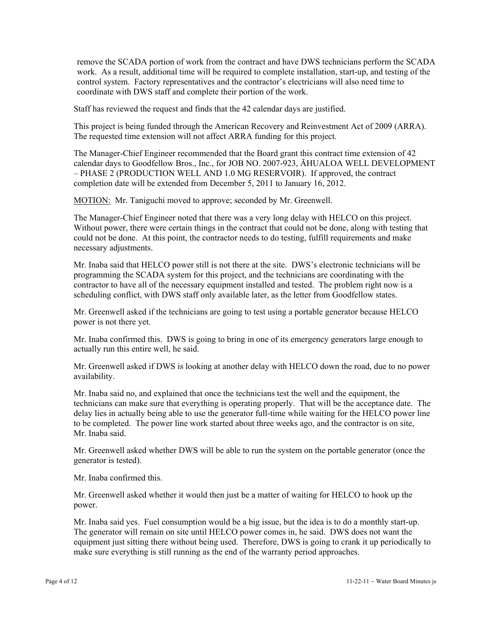remove the SCADA portion of work from the contract and have DWS technicians perform the SCADA work. As a result, additional time will be required to complete installation, start-up, and testing of the control system. Factory representatives and the contractor's electricians will also need time to coordinate with DWS staff and complete their portion of the work.

Staff has reviewed the request and finds that the 42 calendar days are justified.

This project is being funded through the American Recovery and Reinvestment Act of 2009 (ARRA). The requested time extension will not affect ARRA funding for this project.

The Manager-Chief Engineer recommended that the Board grant this contract time extension of 42 calendar days to Goodfellow Bros., Inc., for JOB NO. 2007-923, ĀHUALOA WELL DEVELOPMENT – PHASE 2 (PRODUCTION WELL AND 1.0 MG RESERVOIR). If approved, the contract completion date will be extended from December 5, 2011 to January 16, 2012.

MOTION: Mr. Taniguchi moved to approve; seconded by Mr. Greenwell.

The Manager-Chief Engineer noted that there was a very long delay with HELCO on this project. Without power, there were certain things in the contract that could not be done, along with testing that could not be done. At this point, the contractor needs to do testing, fulfill requirements and make necessary adjustments.

Mr. Inaba said that HELCO power still is not there at the site. DWS's electronic technicians will be programming the SCADA system for this project, and the technicians are coordinating with the contractor to have all of the necessary equipment installed and tested. The problem right now is a scheduling conflict, with DWS staff only available later, as the letter from Goodfellow states.

Mr. Greenwell asked if the technicians are going to test using a portable generator because HELCO power is not there yet.

Mr. Inaba confirmed this. DWS is going to bring in one of its emergency generators large enough to actually run this entire well, he said.

Mr. Greenwell asked if DWS is looking at another delay with HELCO down the road, due to no power availability.

Mr. Inaba said no, and explained that once the technicians test the well and the equipment, the technicians can make sure that everything is operating properly. That will be the acceptance date. The delay lies in actually being able to use the generator full-time while waiting for the HELCO power line to be completed. The power line work started about three weeks ago, and the contractor is on site, Mr. Inaba said.

Mr. Greenwell asked whether DWS will be able to run the system on the portable generator (once the generator is tested).

Mr. Inaba confirmed this.

Mr. Greenwell asked whether it would then just be a matter of waiting for HELCO to hook up the power.

Mr. Inaba said yes. Fuel consumption would be a big issue, but the idea is to do a monthly start-up. The generator will remain on site until HELCO power comes in, he said. DWS does not want the equipment just sitting there without being used. Therefore, DWS is going to crank it up periodically to make sure everything is still running as the end of the warranty period approaches.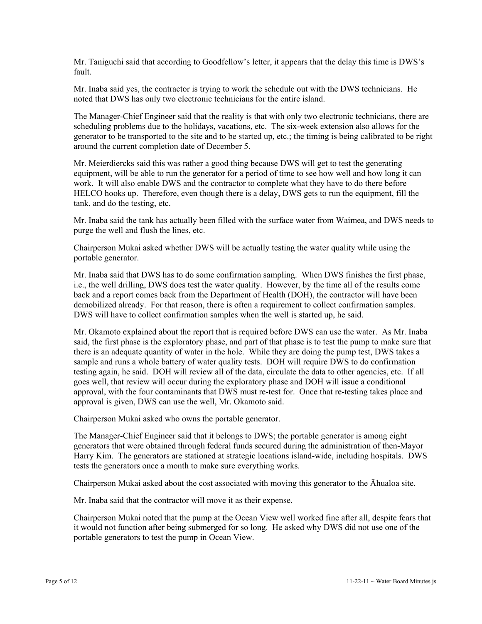Mr. Taniguchi said that according to Goodfellow's letter, it appears that the delay this time is DWS's fault.

Mr. Inaba said yes, the contractor is trying to work the schedule out with the DWS technicians. He noted that DWS has only two electronic technicians for the entire island.

The Manager-Chief Engineer said that the reality is that with only two electronic technicians, there are scheduling problems due to the holidays, vacations, etc. The six-week extension also allows for the generator to be transported to the site and to be started up, etc.; the timing is being calibrated to be right around the current completion date of December 5.

Mr. Meierdiercks said this was rather a good thing because DWS will get to test the generating equipment, will be able to run the generator for a period of time to see how well and how long it can work. It will also enable DWS and the contractor to complete what they have to do there before HELCO hooks up. Therefore, even though there is a delay, DWS gets to run the equipment, fill the tank, and do the testing, etc.

Mr. Inaba said the tank has actually been filled with the surface water from Waimea, and DWS needs to purge the well and flush the lines, etc.

Chairperson Mukai asked whether DWS will be actually testing the water quality while using the portable generator.

Mr. Inaba said that DWS has to do some confirmation sampling. When DWS finishes the first phase, i.e., the well drilling, DWS does test the water quality. However, by the time all of the results come back and a report comes back from the Department of Health (DOH), the contractor will have been demobilized already. For that reason, there is often a requirement to collect confirmation samples. DWS will have to collect confirmation samples when the well is started up, he said.

Mr. Okamoto explained about the report that is required before DWS can use the water. As Mr. Inaba said, the first phase is the exploratory phase, and part of that phase is to test the pump to make sure that there is an adequate quantity of water in the hole. While they are doing the pump test, DWS takes a sample and runs a whole battery of water quality tests. DOH will require DWS to do confirmation testing again, he said. DOH will review all of the data, circulate the data to other agencies, etc. If all goes well, that review will occur during the exploratory phase and DOH will issue a conditional approval, with the four contaminants that DWS must re-test for. Once that re-testing takes place and approval is given, DWS can use the well, Mr. Okamoto said.

Chairperson Mukai asked who owns the portable generator.

The Manager-Chief Engineer said that it belongs to DWS; the portable generator is among eight generators that were obtained through federal funds secured during the administration of then-Mayor Harry Kim. The generators are stationed at strategic locations island-wide, including hospitals. DWS tests the generators once a month to make sure everything works.

Chairperson Mukai asked about the cost associated with moving this generator to the Āhualoa site.

Mr. Inaba said that the contractor will move it as their expense.

Chairperson Mukai noted that the pump at the Ocean View well worked fine after all, despite fears that it would not function after being submerged for so long. He asked why DWS did not use one of the portable generators to test the pump in Ocean View.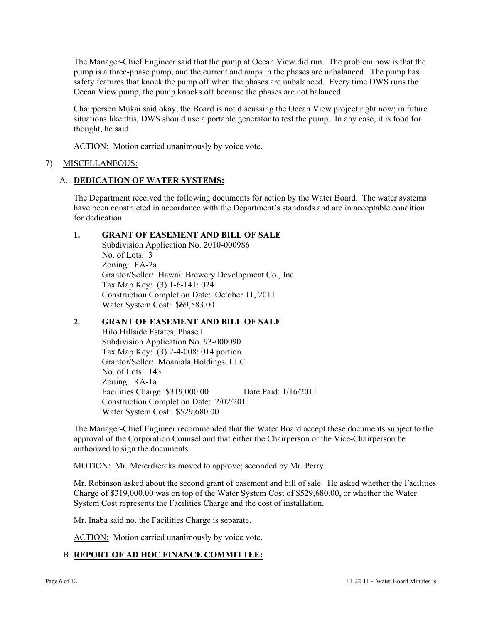The Manager-Chief Engineer said that the pump at Ocean View did run. The problem now is that the pump is a three-phase pump, and the current and amps in the phases are unbalanced. The pump has safety features that knock the pump off when the phases are unbalanced. Every time DWS runs the Ocean View pump, the pump knocks off because the phases are not balanced.

Chairperson Mukai said okay, the Board is not discussing the Ocean View project right now; in future situations like this, DWS should use a portable generator to test the pump. In any case, it is food for thought, he said.

ACTION: Motion carried unanimously by voice vote.

# 7) MISCELLANEOUS:

## A. **DEDICATION OF WATER SYSTEMS:**

The Department received the following documents for action by the Water Board. The water systems have been constructed in accordance with the Department's standards and are in acceptable condition for dedication.

## **1. GRANT OF EASEMENT AND BILL OF SALE**

 Subdivision Application No. 2010-000986 No. of Lots: 3 Zoning: FA-2a Grantor/Seller: Hawaii Brewery Development Co., Inc. Tax Map Key: (3) 1-6-141: 024 Construction Completion Date: October 11, 2011 Water System Cost: \$69,583.00

# **2. GRANT OF EASEMENT AND BILL OF SALE**

Hilo Hillside Estates, Phase I Subdivision Application No. 93-000090 Tax Map Key: (3) 2-4-008: 014 portion Grantor/Seller: Moaniala Holdings, LLC No. of Lots: 143 Zoning: RA-1a Facilities Charge: \$319,000.00 Date Paid: 1/16/2011 Construction Completion Date: 2/02/2011 Water System Cost: \$529,680.00

The Manager-Chief Engineer recommended that the Water Board accept these documents subject to the approval of the Corporation Counsel and that either the Chairperson or the Vice-Chairperson be authorized to sign the documents.

MOTION: Mr. Meierdiercks moved to approve; seconded by Mr. Perry.

Mr. Robinson asked about the second grant of easement and bill of sale. He asked whether the Facilities Charge of \$319,000.00 was on top of the Water System Cost of \$529,680.00, or whether the Water System Cost represents the Facilities Charge and the cost of installation.

Mr. Inaba said no, the Facilities Charge is separate.

ACTION: Motion carried unanimously by voice vote.

# B. **REPORT OF AD HOC FINANCE COMMITTEE:**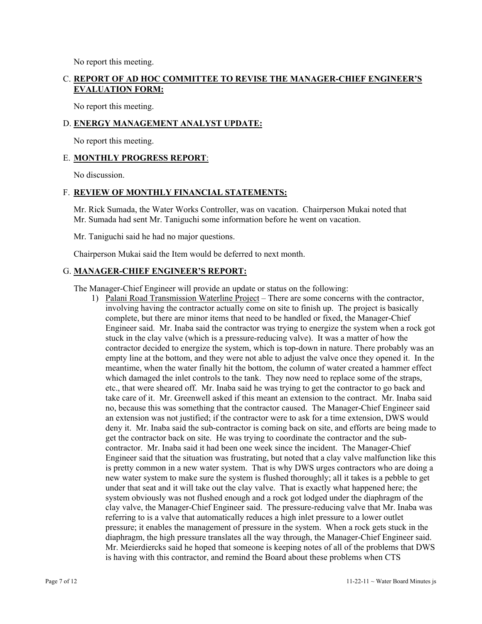No report this meeting.

# C. **REPORT OF AD HOC COMMITTEE TO REVISE THE MANAGER-CHIEF ENGINEER'S EVALUATION FORM:**

No report this meeting.

# D. **ENERGY MANAGEMENT ANALYST UPDATE:**

No report this meeting.

### E. **MONTHLY PROGRESS REPORT**:

No discussion.

# F. **REVIEW OF MONTHLY FINANCIAL STATEMENTS:**

Mr. Rick Sumada, the Water Works Controller, was on vacation. Chairperson Mukai noted that Mr. Sumada had sent Mr. Taniguchi some information before he went on vacation.

Mr. Taniguchi said he had no major questions.

Chairperson Mukai said the Item would be deferred to next month.

### G. **MANAGER-CHIEF ENGINEER'S REPORT:**

The Manager-Chief Engineer will provide an update or status on the following:

1) Palani Road Transmission Waterline Project – There are some concerns with the contractor, involving having the contractor actually come on site to finish up. The project is basically complete, but there are minor items that need to be handled or fixed, the Manager-Chief Engineer said. Mr. Inaba said the contractor was trying to energize the system when a rock got stuck in the clay valve (which is a pressure-reducing valve). It was a matter of how the contractor decided to energize the system, which is top-down in nature. There probably was an empty line at the bottom, and they were not able to adjust the valve once they opened it. In the meantime, when the water finally hit the bottom, the column of water created a hammer effect which damaged the inlet controls to the tank. They now need to replace some of the straps, etc., that were sheared off. Mr. Inaba said he was trying to get the contractor to go back and take care of it. Mr. Greenwell asked if this meant an extension to the contract. Mr. Inaba said no, because this was something that the contractor caused. The Manager-Chief Engineer said an extension was not justified; if the contractor were to ask for a time extension, DWS would deny it. Mr. Inaba said the sub-contractor is coming back on site, and efforts are being made to get the contractor back on site. He was trying to coordinate the contractor and the subcontractor. Mr. Inaba said it had been one week since the incident. The Manager-Chief Engineer said that the situation was frustrating, but noted that a clay valve malfunction like this is pretty common in a new water system. That is why DWS urges contractors who are doing a new water system to make sure the system is flushed thoroughly; all it takes is a pebble to get under that seat and it will take out the clay valve. That is exactly what happened here; the system obviously was not flushed enough and a rock got lodged under the diaphragm of the clay valve, the Manager-Chief Engineer said. The pressure-reducing valve that Mr. Inaba was referring to is a valve that automatically reduces a high inlet pressure to a lower outlet pressure; it enables the management of pressure in the system. When a rock gets stuck in the diaphragm, the high pressure translates all the way through, the Manager-Chief Engineer said. Mr. Meierdiercks said he hoped that someone is keeping notes of all of the problems that DWS is having with this contractor, and remind the Board about these problems when CTS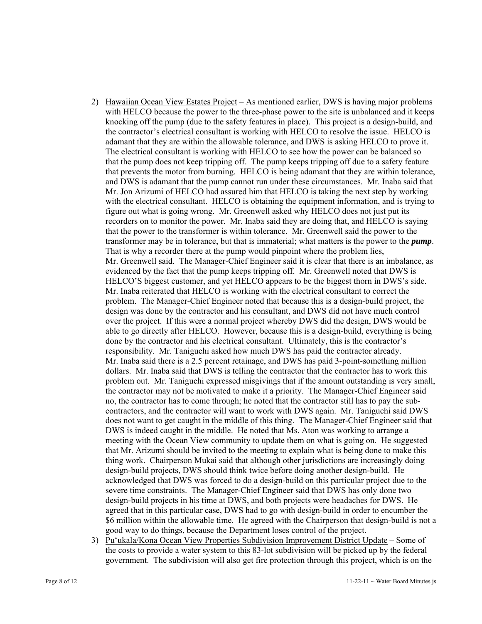- 2) Hawaiian Ocean View Estates Project As mentioned earlier, DWS is having major problems with HELCO because the power to the three-phase power to the site is unbalanced and it keeps knocking off the pump (due to the safety features in place). This project is a design-build, and the contractor's electrical consultant is working with HELCO to resolve the issue. HELCO is adamant that they are within the allowable tolerance, and DWS is asking HELCO to prove it. The electrical consultant is working with HELCO to see how the power can be balanced so that the pump does not keep tripping off. The pump keeps tripping off due to a safety feature that prevents the motor from burning. HELCO is being adamant that they are within tolerance, and DWS is adamant that the pump cannot run under these circumstances. Mr. Inaba said that Mr. Jon Arizumi of HELCO had assured him that HELCO is taking the next step by working with the electrical consultant. HELCO is obtaining the equipment information, and is trying to figure out what is going wrong. Mr. Greenwell asked why HELCO does not just put its recorders on to monitor the power. Mr. Inaba said they are doing that, and HELCO is saying that the power to the transformer is within tolerance. Mr. Greenwell said the power to the transformer may be in tolerance, but that is immaterial; what matters is the power to the *pump*. That is why a recorder there at the pump would pinpoint where the problem lies, Mr. Greenwell said. The Manager-Chief Engineer said it is clear that there is an imbalance, as evidenced by the fact that the pump keeps tripping off. Mr. Greenwell noted that DWS is HELCO'S biggest customer, and yet HELCO appears to be the biggest thorn in DWS's side. Mr. Inaba reiterated that HELCO is working with the electrical consultant to correct the problem. The Manager-Chief Engineer noted that because this is a design-build project, the design was done by the contractor and his consultant, and DWS did not have much control over the project. If this were a normal project whereby DWS did the design, DWS would be able to go directly after HELCO. However, because this is a design-build, everything is being done by the contractor and his electrical consultant. Ultimately, this is the contractor's responsibility. Mr. Taniguchi asked how much DWS has paid the contractor already. Mr. Inaba said there is a 2.5 percent retainage, and DWS has paid 3-point-something million dollars. Mr. Inaba said that DWS is telling the contractor that the contractor has to work this problem out. Mr. Taniguchi expressed misgivings that if the amount outstanding is very small, the contractor may not be motivated to make it a priority. The Manager-Chief Engineer said no, the contractor has to come through; he noted that the contractor still has to pay the subcontractors, and the contractor will want to work with DWS again. Mr. Taniguchi said DWS does not want to get caught in the middle of this thing. The Manager-Chief Engineer said that DWS is indeed caught in the middle. He noted that Ms. Aton was working to arrange a meeting with the Ocean View community to update them on what is going on. He suggested that Mr. Arizumi should be invited to the meeting to explain what is being done to make this thing work. Chairperson Mukai said that although other jurisdictions are increasingly doing design-build projects, DWS should think twice before doing another design-build. He acknowledged that DWS was forced to do a design-build on this particular project due to the severe time constraints. The Manager-Chief Engineer said that DWS has only done two design-build projects in his time at DWS, and both projects were headaches for DWS. He agreed that in this particular case, DWS had to go with design-build in order to encumber the \$6 million within the allowable time. He agreed with the Chairperson that design-build is not a good way to do things, because the Department loses control of the project.
- 3) Pu'ukala/Kona Ocean View Properties Subdivision Improvement District Update Some of the costs to provide a water system to this 83-lot subdivision will be picked up by the federal government. The subdivision will also get fire protection through this project, which is on the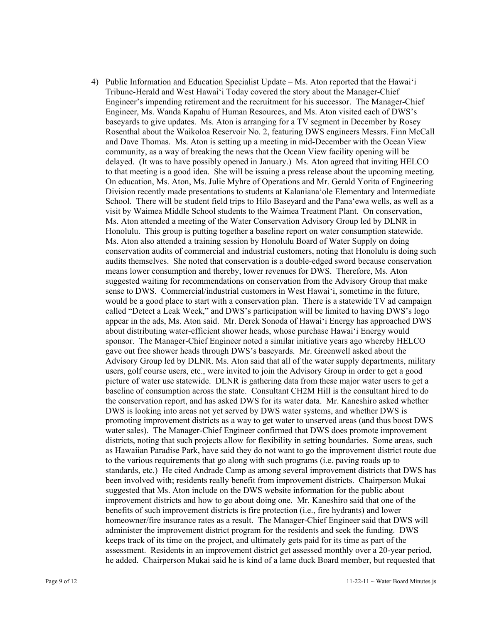4) Public Information and Education Specialist Update – Ms. Aton reported that the Hawai'i Tribune-Herald and West Hawai'i Today covered the story about the Manager-Chief Engineer's impending retirement and the recruitment for his successor. The Manager-Chief Engineer, Ms. Wanda Kapahu of Human Resources, and Ms. Aton visited each of DWS's baseyards to give updates. Ms. Aton is arranging for a TV segment in December by Rosey Rosenthal about the Waikoloa Reservoir No. 2, featuring DWS engineers Messrs. Finn McCall and Dave Thomas. Ms. Aton is setting up a meeting in mid-December with the Ocean View community, as a way of breaking the news that the Ocean View facility opening will be delayed. (It was to have possibly opened in January.) Ms. Aton agreed that inviting HELCO to that meeting is a good idea. She will be issuing a press release about the upcoming meeting. On education, Ms. Aton, Ms. Julie Myhre of Operations and Mr. Gerald Yorita of Engineering Division recently made presentations to students at Kalaniana'ole Elementary and Intermediate School. There will be student field trips to Hilo Baseyard and the Pana'ewa wells, as well as a visit by Waimea Middle School students to the Waimea Treatment Plant. On conservation, Ms. Aton attended a meeting of the Water Conservation Advisory Group led by DLNR in Honolulu. This group is putting together a baseline report on water consumption statewide. Ms. Aton also attended a training session by Honolulu Board of Water Supply on doing conservation audits of commercial and industrial customers, noting that Honolulu is doing such audits themselves. She noted that conservation is a double-edged sword because conservation means lower consumption and thereby, lower revenues for DWS. Therefore, Ms. Aton suggested waiting for recommendations on conservation from the Advisory Group that make sense to DWS. Commercial/industrial customers in West Hawai'i, sometime in the future, would be a good place to start with a conservation plan. There is a statewide TV ad campaign called "Detect a Leak Week," and DWS's participation will be limited to having DWS's logo appear in the ads, Ms. Aton said. Mr. Derek Sonoda of Hawai'i Energy has approached DWS about distributing water-efficient shower heads, whose purchase Hawai'i Energy would sponsor. The Manager-Chief Engineer noted a similar initiative years ago whereby HELCO gave out free shower heads through DWS's baseyards. Mr. Greenwell asked about the Advisory Group led by DLNR. Ms. Aton said that all of the water supply departments, military users, golf course users, etc., were invited to join the Advisory Group in order to get a good picture of water use statewide. DLNR is gathering data from these major water users to get a baseline of consumption across the state. Consultant CH2M Hill is the consultant hired to do the conservation report, and has asked DWS for its water data. Mr. Kaneshiro asked whether DWS is looking into areas not yet served by DWS water systems, and whether DWS is promoting improvement districts as a way to get water to unserved areas (and thus boost DWS water sales). The Manager-Chief Engineer confirmed that DWS does promote improvement districts, noting that such projects allow for flexibility in setting boundaries. Some areas, such as Hawaiian Paradise Park, have said they do not want to go the improvement district route due to the various requirements that go along with such programs (i.e. paving roads up to standards, etc.) He cited Andrade Camp as among several improvement districts that DWS has been involved with; residents really benefit from improvement districts. Chairperson Mukai suggested that Ms. Aton include on the DWS website information for the public about improvement districts and how to go about doing one. Mr. Kaneshiro said that one of the benefits of such improvement districts is fire protection (i.e., fire hydrants) and lower homeowner/fire insurance rates as a result. The Manager-Chief Engineer said that DWS will administer the improvement district program for the residents and seek the funding. DWS keeps track of its time on the project, and ultimately gets paid for its time as part of the assessment. Residents in an improvement district get assessed monthly over a 20-year period, he added. Chairperson Mukai said he is kind of a lame duck Board member, but requested that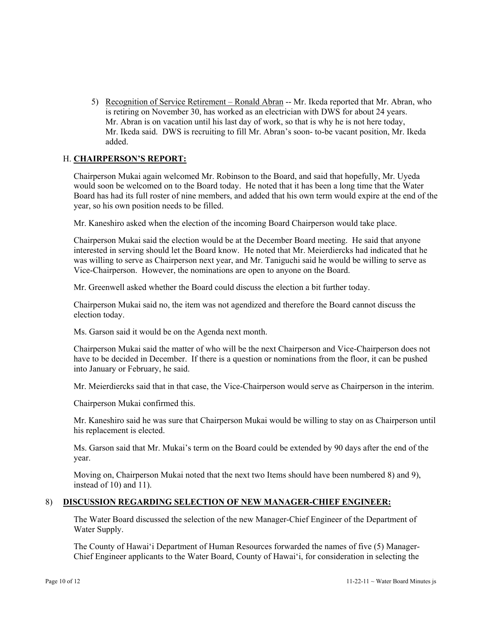5) Recognition of Service Retirement – Ronald Abran -- Mr. Ikeda reported that Mr. Abran, who is retiring on November 30, has worked as an electrician with DWS for about 24 years. Mr. Abran is on vacation until his last day of work, so that is why he is not here today, Mr. Ikeda said. DWS is recruiting to fill Mr. Abran's soon- to-be vacant position, Mr. Ikeda added.

# H. **CHAIRPERSON'S REPORT:**

Chairperson Mukai again welcomed Mr. Robinson to the Board, and said that hopefully, Mr. Uyeda would soon be welcomed on to the Board today. He noted that it has been a long time that the Water Board has had its full roster of nine members, and added that his own term would expire at the end of the year, so his own position needs to be filled.

Mr. Kaneshiro asked when the election of the incoming Board Chairperson would take place.

Chairperson Mukai said the election would be at the December Board meeting. He said that anyone interested in serving should let the Board know. He noted that Mr. Meierdiercks had indicated that he was willing to serve as Chairperson next year, and Mr. Taniguchi said he would be willing to serve as Vice-Chairperson. However, the nominations are open to anyone on the Board.

Mr. Greenwell asked whether the Board could discuss the election a bit further today.

Chairperson Mukai said no, the item was not agendized and therefore the Board cannot discuss the election today.

Ms. Garson said it would be on the Agenda next month.

Chairperson Mukai said the matter of who will be the next Chairperson and Vice-Chairperson does not have to be decided in December. If there is a question or nominations from the floor, it can be pushed into January or February, he said.

Mr. Meierdiercks said that in that case, the Vice-Chairperson would serve as Chairperson in the interim.

Chairperson Mukai confirmed this.

Mr. Kaneshiro said he was sure that Chairperson Mukai would be willing to stay on as Chairperson until his replacement is elected.

Ms. Garson said that Mr. Mukai's term on the Board could be extended by 90 days after the end of the year.

Moving on, Chairperson Mukai noted that the next two Items should have been numbered 8) and 9), instead of 10) and 11).

## 8) **DISCUSSION REGARDING SELECTION OF NEW MANAGER-CHIEF ENGINEER:**

The Water Board discussed the selection of the new Manager-Chief Engineer of the Department of Water Supply.

The County of Hawai'i Department of Human Resources forwarded the names of five (5) Manager-Chief Engineer applicants to the Water Board, County of Hawai'i, for consideration in selecting the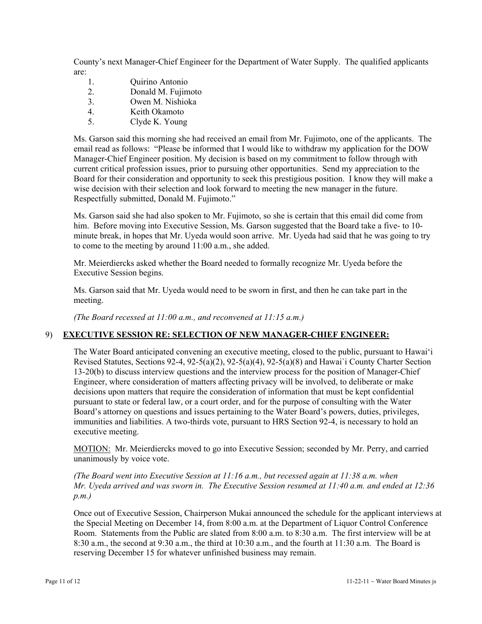County's next Manager-Chief Engineer for the Department of Water Supply. The qualified applicants are:

- 1. Quirino Antonio
- 2. Donald M. Fujimoto
- 3. Owen M. Nishioka
- 4. Keith Okamoto
- 5. Clyde K. Young

Ms. Garson said this morning she had received an email from Mr. Fujimoto, one of the applicants. The email read as follows: "Please be informed that I would like to withdraw my application for the DOW Manager-Chief Engineer position. My decision is based on my commitment to follow through with current critical profession issues, prior to pursuing other opportunities. Send my appreciation to the Board for their consideration and opportunity to seek this prestigious position. I know they will make a wise decision with their selection and look forward to meeting the new manager in the future. Respectfully submitted, Donald M. Fujimoto."

Ms. Garson said she had also spoken to Mr. Fujimoto, so she is certain that this email did come from him. Before moving into Executive Session, Ms. Garson suggested that the Board take a five- to 10 minute break, in hopes that Mr. Uyeda would soon arrive. Mr. Uyeda had said that he was going to try to come to the meeting by around 11:00 a.m., she added.

Mr. Meierdiercks asked whether the Board needed to formally recognize Mr. Uyeda before the Executive Session begins.

Ms. Garson said that Mr. Uyeda would need to be sworn in first, and then he can take part in the meeting.

*(The Board recessed at 11:00 a.m., and reconvened at 11:15 a.m.)* 

## 9) **EXECUTIVE SESSION RE: SELECTION OF NEW MANAGER-CHIEF ENGINEER:**

The Water Board anticipated convening an executive meeting, closed to the public, pursuant to Hawai'i Revised Statutes, Sections 92-4, 92-5(a)(2), 92-5(a)(4), 92-5(a)(8) and Hawai`i County Charter Section 13-20(b) to discuss interview questions and the interview process for the position of Manager-Chief Engineer, where consideration of matters affecting privacy will be involved, to deliberate or make decisions upon matters that require the consideration of information that must be kept confidential pursuant to state or federal law, or a court order, and for the purpose of consulting with the Water Board's attorney on questions and issues pertaining to the Water Board's powers, duties, privileges, immunities and liabilities. A two-thirds vote, pursuant to HRS Section 92-4, is necessary to hold an executive meeting.

MOTION: Mr. Meierdiercks moved to go into Executive Session; seconded by Mr. Perry, and carried unanimously by voice vote.

*(The Board went into Executive Session at 11:16 a.m., but recessed again at 11:38 a.m. when Mr. Uyeda arrived and was sworn in. The Executive Session resumed at 11:40 a.m. and ended at 12:36 p.m.)* 

Once out of Executive Session, Chairperson Mukai announced the schedule for the applicant interviews at the Special Meeting on December 14, from 8:00 a.m. at the Department of Liquor Control Conference Room. Statements from the Public are slated from 8:00 a.m. to 8:30 a.m. The first interview will be at 8:30 a.m., the second at 9:30 a.m., the third at 10:30 a.m., and the fourth at 11:30 a.m. The Board is reserving December 15 for whatever unfinished business may remain.